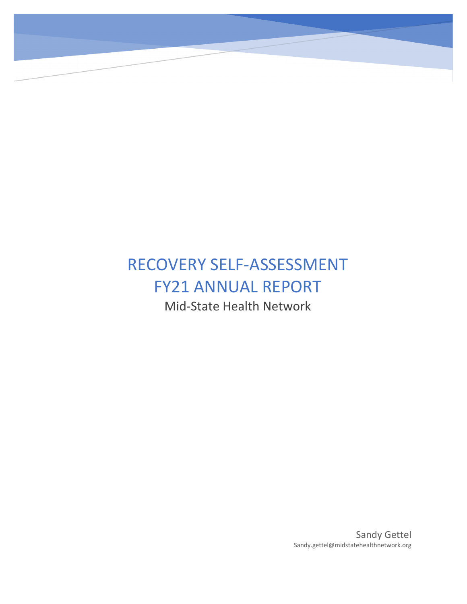# RECOVERY SELF-ASSESSMENT FY21 ANNUAL REPORT Mid-State Health Network

**Quality Assessment Performance Improvement Program** 

**Recovery Assessment Summary Report FY2021**

Sandy Gettel Sandy.gettel@midstatehealthnetwork.org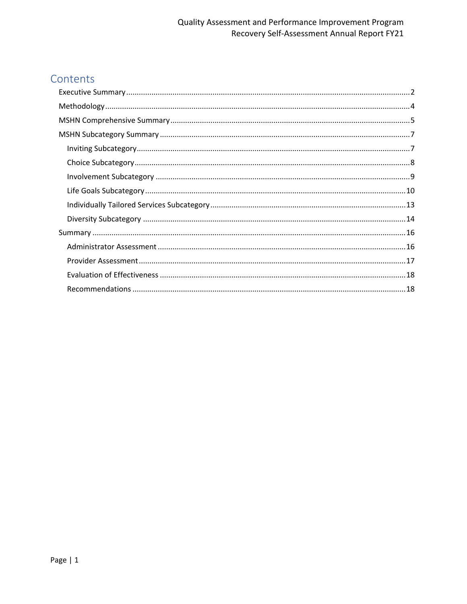## Quality Assessment and Performance Improvement Program Recovery Self-Assessment Annual Report FY21

## Contents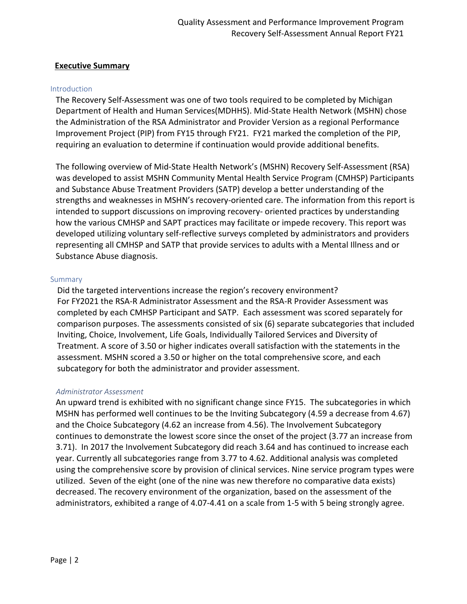#### <span id="page-2-0"></span>**Executive Summary**

#### Introduction

The Recovery Self-Assessment was one of two tools required to be completed by Michigan Department of Health and Human Services(MDHHS). Mid-State Health Network (MSHN) chose the Administration of the RSA Administrator and Provider Version as a regional Performance Improvement Project (PIP) from FY15 through FY21. FY21 marked the completion of the PIP, requiring an evaluation to determine if continuation would provide additional benefits.

The following overview of Mid-State Health Network's (MSHN) Recovery Self-Assessment (RSA) was developed to assist MSHN Community Mental Health Service Program (CMHSP) Participants and Substance Abuse Treatment Providers (SATP) develop a better understanding of the strengths and weaknesses in MSHN's recovery-oriented care. The information from this report is intended to support discussions on improving recovery- oriented practices by understanding how the various CMHSP and SAPT practices may facilitate or impede recovery. This report was developed utilizing voluntary self-reflective surveys completed by administrators and providers representing all CMHSP and SATP that provide services to adults with a Mental Illness and or Substance Abuse diagnosis.

#### Summary

Did the targeted interventions increase the region's recovery environment? For FY2021 the RSA-R Administrator Assessment and the RSA-R Provider Assessment was completed by each CMHSP Participant and SATP. Each assessment was scored separately for comparison purposes. The assessments consisted of six (6) separate subcategories that included Inviting, Choice, Involvement, Life Goals, Individually Tailored Services and Diversity of Treatment. A score of 3.50 or higher indicates overall satisfaction with the statements in the assessment. MSHN scored a 3.50 or higher on the total comprehensive score, and each subcategory for both the administrator and provider assessment.

#### *Administrator Assessment*

An upward trend is exhibited with no significant change since FY15. The subcategories in which MSHN has performed well continues to be the Inviting Subcategory (4.59 a decrease from 4.67) and the Choice Subcategory (4.62 an increase from 4.56). The Involvement Subcategory continues to demonstrate the lowest score since the onset of the project (3.77 an increase from 3.71). In 2017 the Involvement Subcategory did reach 3.64 and has continued to increase each year. Currently all subcategories range from 3.77 to 4.62. Additional analysis was completed using the comprehensive score by provision of clinical services. Nine service program types were utilized. Seven of the eight (one of the nine was new therefore no comparative data exists) decreased. The recovery environment of the organization, based on the assessment of the administrators, exhibited a range of 4.07-4.41 on a scale from 1-5 with 5 being strongly agree.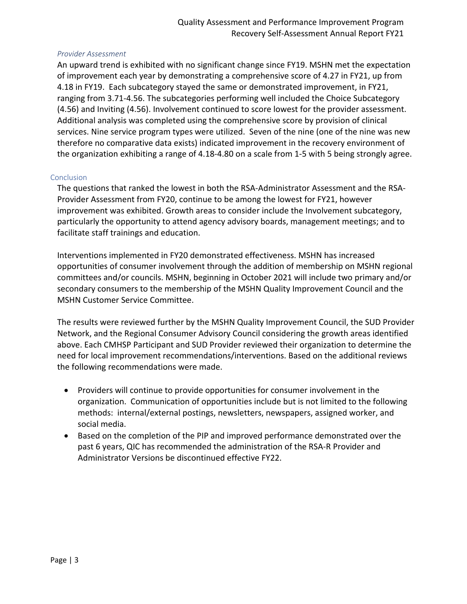#### *Provider Assessment*

An upward trend is exhibited with no significant change since FY19. MSHN met the expectation of improvement each year by demonstrating a comprehensive score of 4.27 in FY21, up from 4.18 in FY19. Each subcategory stayed the same or demonstrated improvement, in FY21, ranging from 3.71-4.56. The subcategories performing well included the Choice Subcategory (4.56) and Inviting (4.56). Involvement continued to score lowest for the provider assessment. Additional analysis was completed using the comprehensive score by provision of clinical services. Nine service program types were utilized. Seven of the nine (one of the nine was new therefore no comparative data exists) indicated improvement in the recovery environment of the organization exhibiting a range of 4.18-4.80 on a scale from 1-5 with 5 being strongly agree.

#### **Conclusion**

The questions that ranked the lowest in both the RSA-Administrator Assessment and the RSA-Provider Assessment from FY20, continue to be among the lowest for FY21, however improvement was exhibited. Growth areas to consider include the Involvement subcategory, particularly the opportunity to attend agency advisory boards, management meetings; and to facilitate staff trainings and education.

Interventions implemented in FY20 demonstrated effectiveness. MSHN has increased opportunities of consumer involvement through the addition of membership on MSHN regional committees and/or councils. MSHN, beginning in October 2021 will include two primary and/or secondary consumers to the membership of the MSHN Quality Improvement Council and the MSHN Customer Service Committee.

The results were reviewed further by the MSHN Quality Improvement Council, the SUD Provider Network, and the Regional Consumer Advisory Council considering the growth areas identified above. Each CMHSP Participant and SUD Provider reviewed their organization to determine the need for local improvement recommendations/interventions. Based on the additional reviews the following recommendations were made.

- Providers will continue to provide opportunities for consumer involvement in the organization. Communication of opportunities include but is not limited to the following methods: internal/external postings, newsletters, newspapers, assigned worker, and social media.
- Based on the completion of the PIP and improved performance demonstrated over the past 6 years, QIC has recommended the administration of the RSA-R Provider and Administrator Versions be discontinued effective FY22.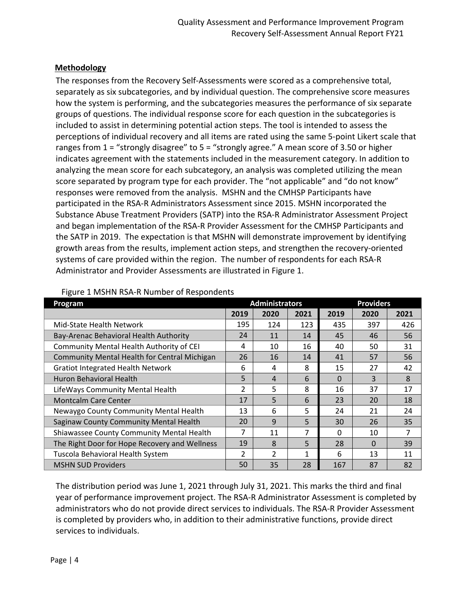## <span id="page-4-0"></span>**Methodology**

The responses from the Recovery Self-Assessments were scored as a comprehensive total, separately as six subcategories, and by individual question. The comprehensive score measures how the system is performing, and the subcategories measures the performance of six separate groups of questions. The individual response score for each question in the subcategories is included to assist in determining potential action steps. The tool is intended to assess the perceptions of individual recovery and all items are rated using the same 5-point Likert scale that ranges from 1 = "strongly disagree" to 5 = "strongly agree." A mean score of 3.50 or higher indicates agreement with the statements included in the measurement category. In addition to analyzing the mean score for each subcategory, an analysis was completed utilizing the mean score separated by program type for each provider. The "not applicable" and "do not know" responses were removed from the analysis. MSHN and the CMHSP Participants have participated in the RSA-R Administrators Assessment since 2015. MSHN incorporated the Substance Abuse Treatment Providers (SATP) into the RSA-R Administrator Assessment Project and began implementation of the RSA-R Provider Assessment for the CMHSP Participants and the SATP in 2019. The expectation is that MSHN will demonstrate improvement by identifying growth areas from the results, implement action steps, and strengthen the recovery-oriented systems of care provided within the region. The number of respondents for each RSA-R Administrator and Provider Assessments are illustrated in Figure 1.

| Program                                       |      | <b>Administrators</b> |      | <b>Providers</b> |      |                |  |  |
|-----------------------------------------------|------|-----------------------|------|------------------|------|----------------|--|--|
|                                               | 2019 | 2020                  | 2021 | 2019             | 2020 | 2021           |  |  |
| Mid-State Health Network                      | 195  | 124                   | 123  | 435              | 397  | 426            |  |  |
| Bay-Arenac Behavioral Health Authority        | 24   | 11                    | 14   | 45               | 46   | 56             |  |  |
| Community Mental Health Authority of CEI      | 4    | 10                    | 16   | 40               | 50   | 31             |  |  |
| Community Mental Health for Central Michigan  | 26   | 16                    | 14   | 41               | 57   | 56             |  |  |
| <b>Gratiot Integrated Health Network</b>      | 6    | 4                     | 8    | 15               | 27   | 42             |  |  |
| Huron Behavioral Health                       | 5    | 4                     | 6    | $\Omega$         | 3    | 8              |  |  |
| LifeWays Community Mental Health              | 2    | 5                     | 8    | 16               | 37   | 17             |  |  |
| <b>Montcalm Care Center</b>                   | 17   | 5                     | 6    | 23               | 20   | 18             |  |  |
| Newaygo County Community Mental Health        | 13   | 6                     | 5    | 24               | 21   | 24             |  |  |
| Saginaw County Community Mental Health        | 20   | 9                     | 5    | 30               | 26   | 35             |  |  |
| Shiawassee County Community Mental Health     | 7    | 11                    | 7    | $\Omega$         | 10   | $\overline{7}$ |  |  |
| The Right Door for Hope Recovery and Wellness | 19   | 8                     | 5    | 28               | 0    | 39             |  |  |
| Tuscola Behavioral Health System              | 2    | $\overline{2}$        | 1    | 6                | 13   | 11             |  |  |
| <b>MSHN SUD Providers</b>                     | 50   | 35                    | 28   | 167              | 87   | 82             |  |  |

#### Figure 1 MSHN RSA-R Number of Respondents

The distribution period was June 1, 2021 through July 31, 2021. This marks the third and final year of performance improvement project. The RSA-R Administrator Assessment is completed by administrators who do not provide direct services to individuals. The RSA-R Provider Assessment is completed by providers who, in addition to their administrative functions, provide direct services to individuals.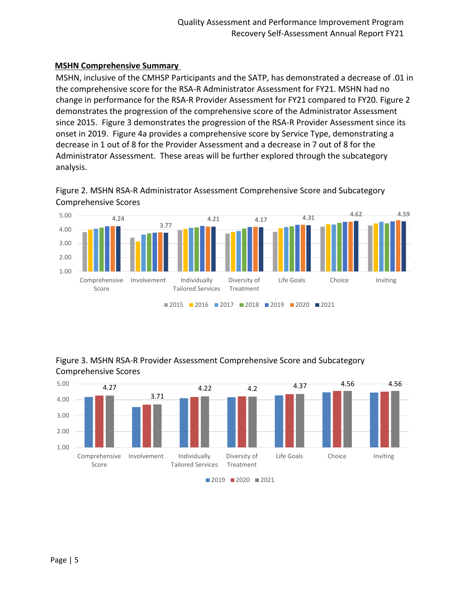## <span id="page-5-0"></span>**MSHN Comprehensive Summary**

MSHN, inclusive of the CMHSP Participants and the SATP, has demonstrated a decrease of .01 in the comprehensive score for the RSA-R Administrator Assessment for FY21. MSHN had no change in performance for the RSA-R Provider Assessment for FY21 compared to FY20. Figure 2 demonstrates the progression of the comprehensive score of the Administrator Assessment since 2015. Figure 3 demonstrates the progression of the RSA-R Provider Assessment since its onset in 2019. Figure 4a provides a comprehensive score by Service Type, demonstrating a decrease in 1 out of 8 for the Provider Assessment and a decrease in 7 out of 8 for the Administrator Assessment. These areas will be further explored through the subcategory analysis.





Figure 3. MSHN RSA-R Provider Assessment Comprehensive Score and Subcategory Comprehensive Scores

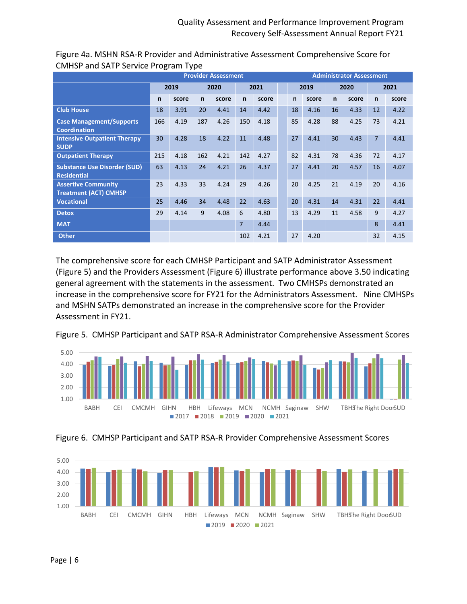|                                                            |              |       |     | <b>Provider Assessment</b> |              |       | <b>Administrator Assessment</b> |              |       |              |       |                |       |  |
|------------------------------------------------------------|--------------|-------|-----|----------------------------|--------------|-------|---------------------------------|--------------|-------|--------------|-------|----------------|-------|--|
|                                                            |              | 2019  |     | 2020                       |              | 2021  |                                 | 2019         |       | 2020         |       | 2021           |       |  |
|                                                            | $\mathsf{n}$ | score | n   | score                      | $\mathsf{n}$ | score |                                 | $\mathsf{n}$ | score | $\mathsf{n}$ | score | $\mathsf{n}$   | score |  |
| <b>Club House</b>                                          | 18           | 3.91  | 20  | 4.41                       | 14           | 4.42  |                                 | 18           | 4.16  | 16           | 4.33  | 12             | 4.22  |  |
| <b>Case Management/Supports</b><br><b>Coordination</b>     | 166          | 4.19  | 187 | 4.26                       | 150          | 4.18  |                                 | 85           | 4.28  | 88           | 4.25  | 73             | 4.21  |  |
| <b>Intensive Outpatient Therapy</b><br><b>SUDP</b>         | 30           | 4.28  | 18  | 4.22                       | 11           | 4.48  |                                 | 27           | 4.41  | 30           | 4.43  | $\overline{7}$ | 4.41  |  |
| <b>Outpatient Therapy</b>                                  | 215          | 4.18  | 162 | 4.21                       | 142          | 4.27  |                                 | 82           | 4.31  | 78           | 4.36  | 72             | 4.17  |  |
| <b>Substance Use Disorder (SUD)</b><br><b>Residential</b>  | 63           | 4.13  | 24  | 4.21                       | 26           | 4.37  |                                 | 27           | 4.41  | 20           | 4.57  | 16             | 4.07  |  |
| <b>Assertive Community</b><br><b>Treatment (ACT) CMHSP</b> | 23           | 4.33  | 33  | 4.24                       | 29           | 4.26  |                                 | 20           | 4.25  | 21           | 4.19  | 20             | 4.16  |  |
| <b>Vocational</b>                                          | 25           | 4.46  | 34  | 4.48                       | 22           | 4.63  |                                 | 20           | 4.31  | 14           | 4.31  | 22             | 4.41  |  |
| <b>Detox</b>                                               | 29           | 4.14  | 9   | 4.08                       | 6            | 4.80  |                                 | 13           | 4.29  | 11           | 4.58  | 9              | 4.27  |  |
| <b>MAT</b>                                                 |              |       |     |                            | 7            | 4.44  |                                 |              |       |              |       | 8              | 4.41  |  |
| <b>Other</b>                                               |              |       |     |                            | 102          | 4.21  |                                 | 27           | 4.20  |              |       | 32             | 4.15  |  |

Figure 4a. MSHN RSA-R Provider and Administrative Assessment Comprehensive Score for CMHSP and SATP Service Program Type

The comprehensive score for each CMHSP Participant and SATP Administrator Assessment (Figure 5) and the Providers Assessment (Figure 6) illustrate performance above 3.50 indicating general agreement with the statements in the assessment. Two CMHSPs demonstrated an increase in the comprehensive score for FY21 for the Administrators Assessment. Nine CMHSPs and MSHN SATPs demonstrated an increase in the comprehensive score for the Provider Assessment in FY21.

Figure 5. CMHSP Participant and SATP RSA-R Administrator Comprehensive Assessment Scores





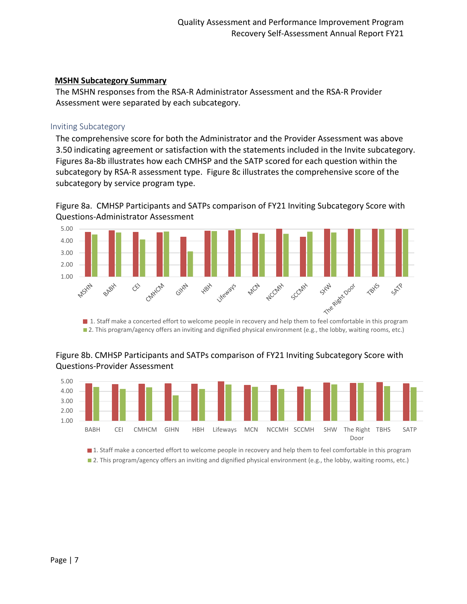#### <span id="page-7-0"></span>**MSHN Subcategory Summary**

The MSHN responses from the RSA-R Administrator Assessment and the RSA-R Provider Assessment were separated by each subcategory.

#### <span id="page-7-1"></span>Inviting Subcategory

The comprehensive score for both the Administrator and the Provider Assessment was above 3.50 indicating agreement or satisfaction with the statements included in the Invite subcategory. Figures 8a-8b illustrates how each CMHSP and the SATP scored for each question within the subcategory by RSA-R assessment type. Figure 8c illustrates the comprehensive score of the subcategory by service program type.

Figure 8a. CMHSP Participants and SATPs comparison of FY21 Inviting Subcategory Score with Questions-Administrator Assessment



**2**. This program/agency offers an inviting and dignified physical environment (e.g., the lobby, waiting rooms, etc.)

## Figure 8b. CMHSP Participants and SATPs comparison of FY21 Inviting Subcategory Score with Questions-Provider Assessment



1. Staff make a concerted effort to welcome people in recovery and help them to feel comfortable in this program

**2**. This program/agency offers an inviting and dignified physical environment (e.g., the lobby, waiting rooms, etc.)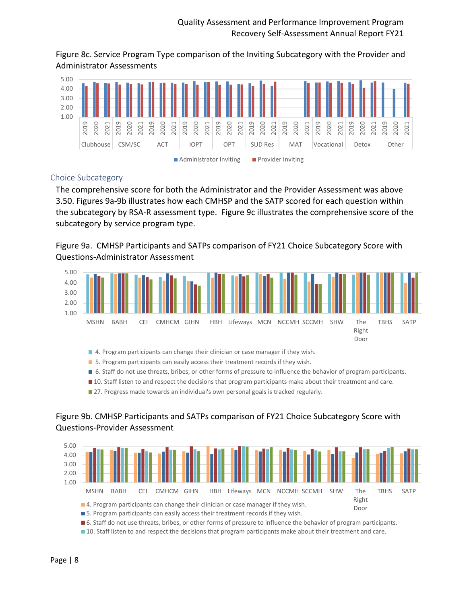Figure 8c. Service Program Type comparison of the Inviting Subcategory with the Provider and Administrator Assessments



## <span id="page-8-0"></span>Choice Subcategory

The comprehensive score for both the Administrator and the Provider Assessment was above 3.50. Figures 9a-9b illustrates how each CMHSP and the SATP scored for each question within the subcategory by RSA-R assessment type. Figure 9c illustrates the comprehensive score of the subcategory by service program type.

Figure 9a. CMHSP Participants and SATPs comparison of FY21 Choice Subcategory Score with Questions-Administrator Assessment



4. Program participants can change their clinician or case manager if they wish.

- 5. Program participants can easily access their treatment records if they wish.
- 6. Staff do not use threats, bribes, or other forms of pressure to influence the behavior of program participants.
- **10.** Staff listen to and respect the decisions that program participants make about their treatment and care.

**27. Progress made towards an individual's own personal goals is tracked regularly.** 

## Figure 9b. CMHSP Participants and SATPs comparison of FY21 Choice Subcategory Score with Questions-Provider Assessment



10. Staff listen to and respect the decisions that program participants make about their treatment and care.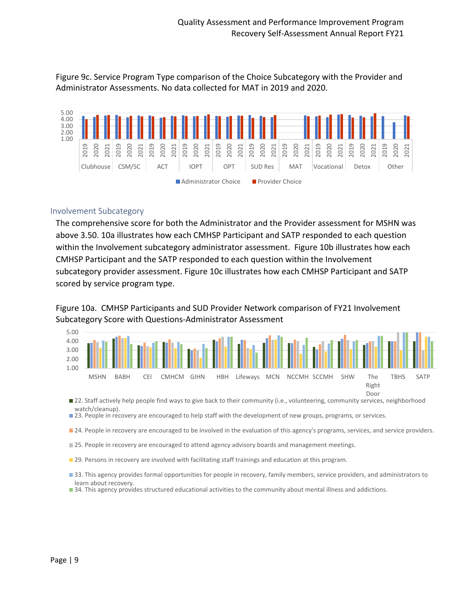Figure 9c. Service Program Type comparison of the Choice Subcategory with the Provider and Administrator Assessments. No data collected for MAT in 2019 and 2020.



#### <span id="page-9-0"></span>Involvement Subcategory

The comprehensive score for both the Administrator and the Provider assessment for MSHN was above 3.50. 10a illustrates how each CMHSP Participant and SATP responded to each question within the Involvement subcategory administrator assessment. Figure 10b illustrates how each CMHSP Participant and the SATP responded to each question within the Involvement subcategory provider assessment. Figure 10c illustrates how each CMHSP Participant and SATP scored by service program type.

Figure 10a. CMHSP Participants and SUD Provider Network comparison of FY21 Involvement Subcategory Score with Questions-Administrator Assessment



■ 22. Staff actively help people find ways to give back to their community (i.e., volunteering, community services, neighborhood watch/cleanup).

23. People in recovery are encouraged to help staff with the development of new groups, programs, or services.

24. People in recovery are encouraged to be involved in the evaluation of this agency's programs, services, and service providers.

25. People in recovery are encouraged to attend agency advisory boards and management meetings.

**29. Persons in recovery are involved with facilitating staff trainings and education at this program.** 

33. This agency provides formal opportunities for people in recovery, family members, service providers, and administrators to learn about recovery.

34. This agency provides structured educational activities to the community about mental illness and addictions.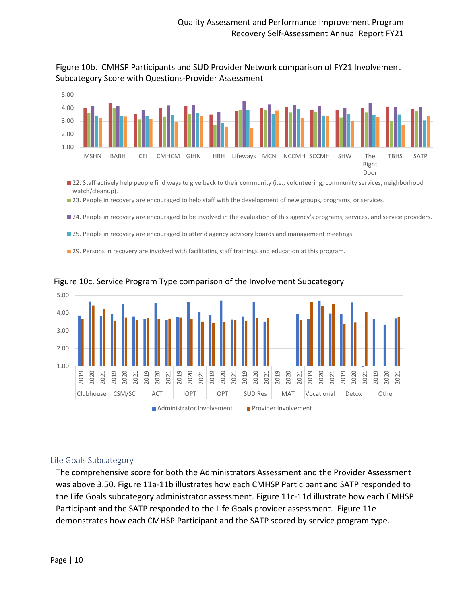



- 22. Staff actively help people find ways to give back to their community (i.e., volunteering, community services, neighborhood watch/cleanup).
- 23. People in recovery are encouraged to help staff with the development of new groups, programs, or services.
- 24. People in recovery are encouraged to be involved in the evaluation of this agency's programs, services, and service providers.
- 25. People in recovery are encouraged to attend agency advisory boards and management meetings.
- 29. Persons in recovery are involved with facilitating staff trainings and education at this program.



#### Figure 10c. Service Program Type comparison of the Involvement Subcategory

#### <span id="page-10-0"></span>Life Goals Subcategory

The comprehensive score for both the Administrators Assessment and the Provider Assessment was above 3.50. Figure 11a-11b illustrates how each CMHSP Participant and SATP responded to the Life Goals subcategory administrator assessment. Figure 11c-11d illustrate how each CMHSP Participant and the SATP responded to the Life Goals provider assessment. Figure 11e demonstrates how each CMHSP Participant and the SATP scored by service program type.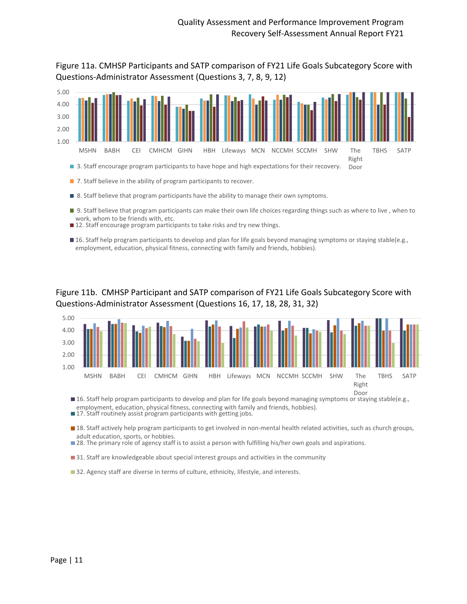Figure 11a. CMHSP Participants and SATP comparison of FY21 Life Goals Subcategory Score with Questions-Administrator Assessment (Questions 3, 7, 8, 9, 12)



- 7. Staff believe in the ability of program participants to recover.
- 8. Staff believe that program participants have the ability to manage their own symptoms.
- 9. Staff believe that program participants can make their own life choices regarding things such as where to live , when to work, whom to be friends with, etc.
- ■12. Staff encourage program participants to take risks and try new things.
- 16. Staff help program participants to develop and plan for life goals beyond managing symptoms or staying stable(e.g., employment, education, physical fitness, connecting with family and friends, hobbies).

## Figure 11b. CMHSP Participant and SATP comparison of FY21 Life Goals Subcategory Score with Questions-Administrator Assessment (Questions 16, 17, 18, 28, 31, 32)



■ 16. Staff help program participants to develop and plan for life goals beyond managing symptoms or staying stable(e.g., employment, education, physical fitness, connecting with family and friends, hobbies).

■ 17. Staff routinely assist program participants with getting jobs.

18. Staff actively help program participants to get involved in non-mental health related activities, such as church groups, adult education, sports, or hobbies.

28. The primary role of agency staff is to assist a person with fulfilling his/her own goals and aspirations.

**31.** Staff are knowledgeable about special interest groups and activities in the community

■ 32. Agency staff are diverse in terms of culture, ethnicity, lifestyle, and interests.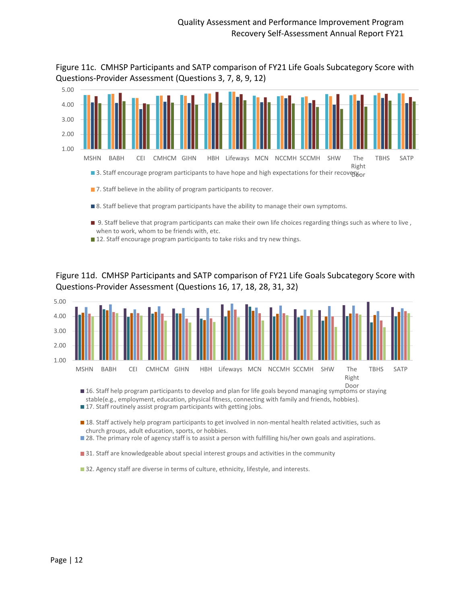Figure 11c. CMHSP Participants and SATP comparison of FY21 Life Goals Subcategory Score with Questions-Provider Assessment (Questions 3, 7, 8, 9, 12)



- 9. Staff believe that program participants can make their own life choices regarding things such as where to live , when to work, whom to be friends with, etc.
- 12. Staff encourage program participants to take risks and try new things.

Figure 11d. CMHSP Participants and SATP comparison of FY21 Life Goals Subcategory Score with Questions-Provider Assessment (Questions 16, 17, 18, 28, 31, 32)



stable(e.g., employment, education, physical fitness, connecting with family and friends, hobbies).

■ 17. Staff routinely assist program participants with getting jobs.

■ 18. Staff actively help program participants to get involved in non-mental health related activities, such as church groups, adult education, sports, or hobbies.

**28.** The primary role of agency staff is to assist a person with fulfilling his/her own goals and aspirations.

**31.** Staff are knowledgeable about special interest groups and activities in the community

■ 32. Agency staff are diverse in terms of culture, ethnicity, lifestyle, and interests.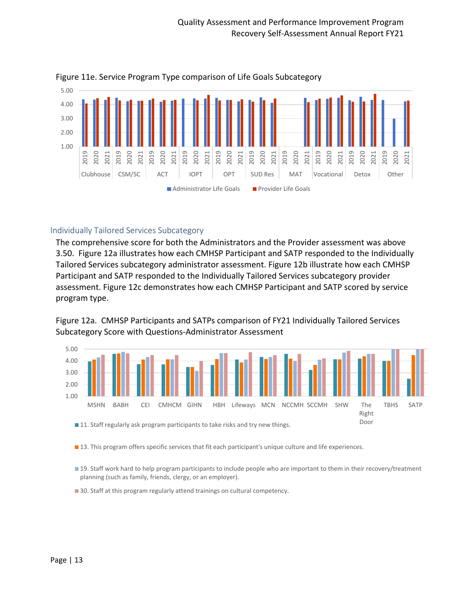

Figure 11e. Service Program Type comparison of Life Goals Subcategory

## <span id="page-13-0"></span>Individually Tailored Services Subcategory

The comprehensive score for both the Administrators and the Provider assessment was above 3.50. Figure 12a illustrates how each CMHSP Participant and SATP responded to the Individually Tailored Services subcategory administrator assessment. Figure 12b illustrate how each CMHSP Participant and SATP responded to the Individually Tailored Services subcategory provider assessment. Figure 12c demonstrates how each CMHSP Participant and SATP scored by service program type.

Figure 12a. CMHSP Participants and SATPs comparison of FY21 Individually Tailored Services Subcategory Score with Questions-Administrator Assessment



**13.** This program offers specific services that fit each participant's unique culture and life experiences.

19. Staff work hard to help program participants to include people who are important to them in their recovery/treatment planning (such as family, friends, clergy, or an employer).

30. Staff at this program regularly attend trainings on cultural competency.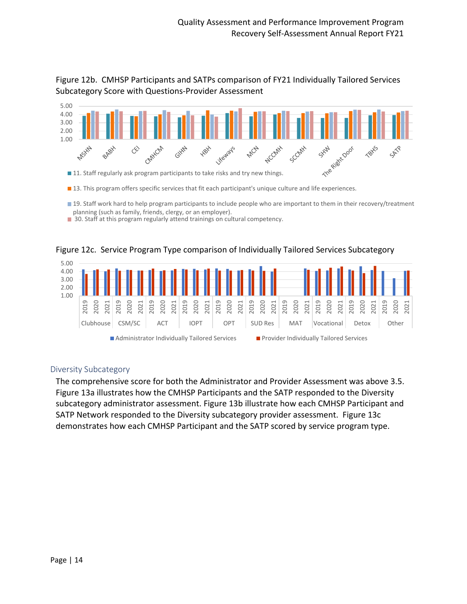

Figure 12b. CMHSP Participants and SATPs comparison of FY21 Individually Tailored Services Subcategory Score with Questions-Provider Assessment

13. This program offers specific services that fit each participant's unique culture and life experiences.

- 19. Staff work hard to help program participants to include people who are important to them in their recovery/treatment planning (such as family, friends, clergy, or an employer).
- 30. Staff at this program regularly attend trainings on cultural competency.



Figure 12c. Service Program Type comparison of Individually Tailored Services Subcategory

## <span id="page-14-0"></span>Diversity Subcategory

The comprehensive score for both the Administrator and Provider Assessment was above 3.5. Figure 13a illustrates how the CMHSP Participants and the SATP responded to the Diversity subcategory administrator assessment. Figure 13b illustrate how each CMHSP Participant and SATP Network responded to the Diversity subcategory provider assessment. Figure 13c demonstrates how each CMHSP Participant and the SATP scored by service program type.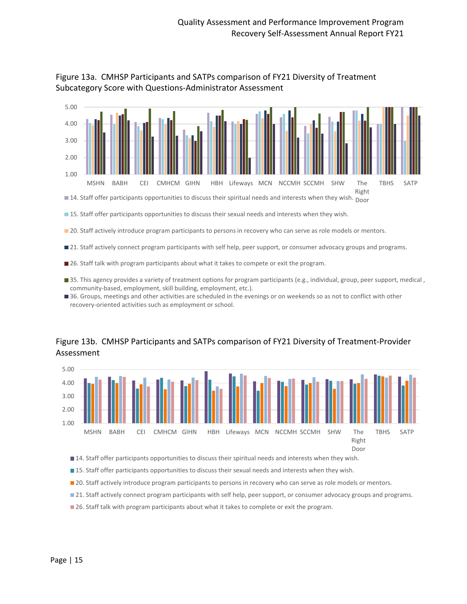



**15.** Staff offer participants opportunities to discuss their sexual needs and interests when they wish.

**20.** Staff actively introduce program participants to persons in recovery who can serve as role models or mentors.

21. Staff actively connect program participants with self help, peer support, or consumer advocacy groups and programs.

- 26. Staff talk with program participants about what it takes to compete or exit the program.
- 35. This agency provides a variety of treatment options for program participants (e.g., individual, group, peer support, medical, community-based, employment, skill building, employment, etc.).
- 36. Groups, meetings and other activities are scheduled in the evenings or on weekends so as not to conflict with other recovery-oriented activities such as employment or school.

## Figure 13b. CMHSP Participants and SATPs comparison of FY21 Diversity of Treatment-Provider Assessment



■ 14. Staff offer participants opportunities to discuss their spiritual needs and interests when they wish.

**15.** Staff offer participants opportunities to discuss their sexual needs and interests when they wish.

- **20.** Staff actively introduce program participants to persons in recovery who can serve as role models or mentors.
- 21. Staff actively connect program participants with self help, peer support, or consumer advocacy groups and programs.
- **26. Staff talk with program participants about what it takes to complete or exit the program.**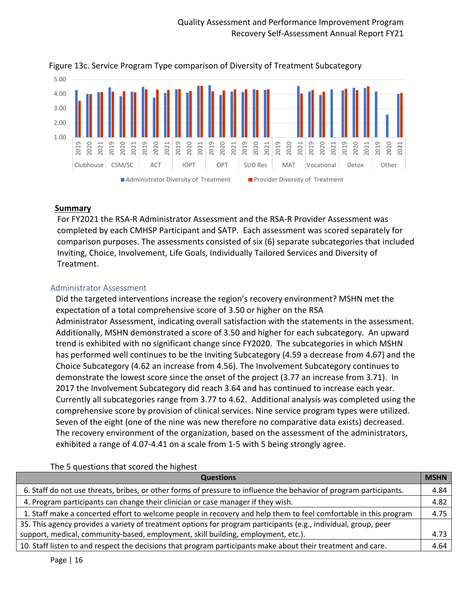

Figure 13c. Service Program Type comparison of Diversity of Treatment Subcategory

#### <span id="page-16-0"></span>**Summary**

For FY2021 the RSA-R Administrator Assessment and the RSA-R Provider Assessment was completed by each CMHSP Participant and SATP. Each assessment was scored separately for comparison purposes. The assessments consisted of six (6) separate subcategories that included Inviting, Choice, Involvement, Life Goals, Individually Tailored Services and Diversity of Treatment.

## <span id="page-16-1"></span>Administrator Assessment

Did the targeted interventions increase the region's recovery environment? MSHN met the expectation of a total comprehensive score of 3.50 or higher on the RSA Administrator Assessment, indicating overall satisfaction with the statements in the assessment. Additionally, MSHN demonstrated a score of 3.50 and higher for each subcategory. An upward trend is exhibited with no significant change since FY2020. The subcategories in which MSHN has performed well continues to be the Inviting Subcategory (4.59 a decrease from 4.67) and the Choice Subcategory (4.62 an increase from 4.56). The Involvement Subcategory continues to demonstrate the lowest score since the onset of the project (3.77 an increase from 3.71). In 2017 the Involvement Subcategory did reach 3.64 and has continued to increase each year. Currently all subcategories range from 3.77 to 4.62. Additional analysis was completed using the comprehensive score by provision of clinical services. Nine service program types were utilized. Seven of the eight (one of the nine was new therefore no comparative data exists) decreased. The recovery environment of the organization, based on the assessment of the administrators, exhibited a range of 4.07-4.41 on a scale from 1-5 with 5 being strongly agree.

The 5 questions that scored the highest

| <b>Questions</b>                                                                                                   | <b>MSHN</b> |
|--------------------------------------------------------------------------------------------------------------------|-------------|
| 6. Staff do not use threats, bribes, or other forms of pressure to influence the behavior of program participants. | 4.84        |
| 4. Program participants can change their clinician or case manager if they wish.                                   | 4.82        |
| 1. Staff make a concerted effort to welcome people in recovery and help them to feel comfortable in this program   | 4.75        |
| 35. This agency provides a variety of treatment options for program participants (e.g., individual, group, peer    |             |
| support, medical, community-based, employment, skill building, employment, etc.).                                  | 4.73        |
| 10. Staff listen to and respect the decisions that program participants make about their treatment and care.       | 4.64        |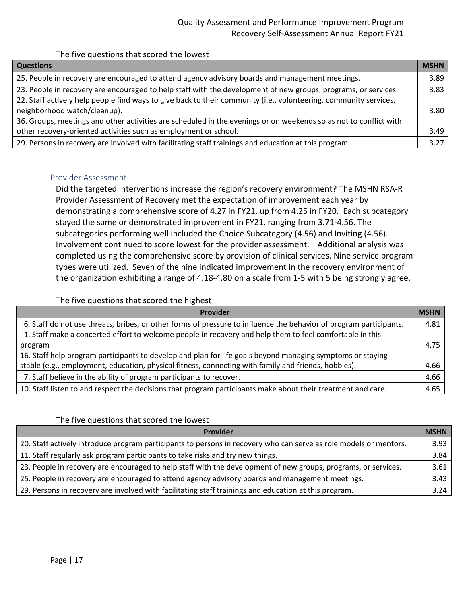## Quality Assessment and Performance Improvement Program Recovery Self-Assessment Annual Report FY21

The five questions that scored the lowest

| <b>Questions</b>                                                                                                  | <b>MSHN</b> |
|-------------------------------------------------------------------------------------------------------------------|-------------|
| 25. People in recovery are encouraged to attend agency advisory boards and management meetings.                   | 3.89        |
| 23. People in recovery are encouraged to help staff with the development of new groups, programs, or services.    | 3.83        |
| 22. Staff actively help people find ways to give back to their community (i.e., volunteering, community services, |             |
| neighborhood watch/cleanup).                                                                                      | 3.80        |
| 36. Groups, meetings and other activities are scheduled in the evenings or on weekends so as not to conflict with |             |
| other recovery-oriented activities such as employment or school.                                                  | 3.49        |
| 29. Persons in recovery are involved with facilitating staff trainings and education at this program.             | 3.27        |

#### <span id="page-17-0"></span>Provider Assessment

Did the targeted interventions increase the region's recovery environment? The MSHN RSA-R Provider Assessment of Recovery met the expectation of improvement each year by demonstrating a comprehensive score of 4.27 in FY21, up from 4.25 in FY20. Each subcategory stayed the same or demonstrated improvement in FY21, ranging from 3.71-4.56. The subcategories performing well included the Choice Subcategory (4.56) and Inviting (4.56). Involvement continued to score lowest for the provider assessment. Additional analysis was completed using the comprehensive score by provision of clinical services. Nine service program types were utilized. Seven of the nine indicated improvement in the recovery environment of the organization exhibiting a range of 4.18-4.80 on a scale from 1-5 with 5 being strongly agree.

The five questions that scored the highest

| Provider                                                                                                           | <b>MSHN</b> |
|--------------------------------------------------------------------------------------------------------------------|-------------|
| 6. Staff do not use threats, bribes, or other forms of pressure to influence the behavior of program participants. | 4.81        |
| 1. Staff make a concerted effort to welcome people in recovery and help them to feel comfortable in this           |             |
| program                                                                                                            | 4.75        |
| 16. Staff help program participants to develop and plan for life goals beyond managing symptoms or staying         |             |
| stable (e.g., employment, education, physical fitness, connecting with family and friends, hobbies).               | 4.66        |
| 7. Staff believe in the ability of program participants to recover.                                                | 4.66        |
| 10. Staff listen to and respect the decisions that program participants make about their treatment and care.       | 4.65        |

#### The five questions that scored the lowest

| Provider                                                                                                          | <b>MSHN</b> |
|-------------------------------------------------------------------------------------------------------------------|-------------|
| 20. Staff actively introduce program participants to persons in recovery who can serve as role models or mentors. | 3.93        |
| 11. Staff regularly ask program participants to take risks and try new things.                                    | 3.84        |
| 23. People in recovery are encouraged to help staff with the development of new groups, programs, or services.    | 3.61        |
| 25. People in recovery are encouraged to attend agency advisory boards and management meetings.                   | 3.43        |
| 29. Persons in recovery are involved with facilitating staff trainings and education at this program.             | 3.24        |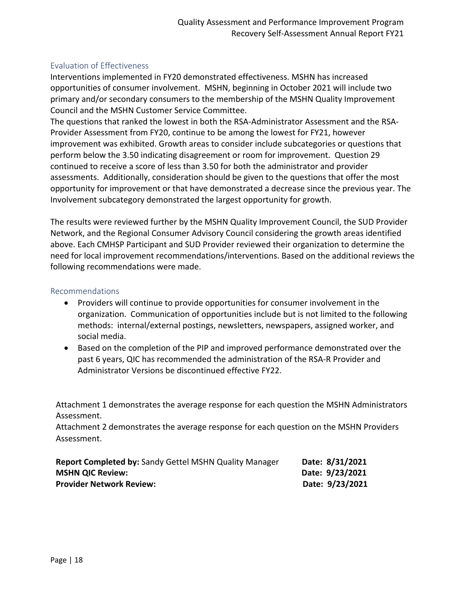#### <span id="page-18-0"></span>Evaluation of Effectiveness

Interventions implemented in FY20 demonstrated effectiveness. MSHN has increased opportunities of consumer involvement. MSHN, beginning in October 2021 will include two primary and/or secondary consumers to the membership of the MSHN Quality Improvement Council and the MSHN Customer Service Committee.

The questions that ranked the lowest in both the RSA-Administrator Assessment and the RSA-Provider Assessment from FY20, continue to be among the lowest for FY21, however improvement was exhibited. Growth areas to consider include subcategories or questions that perform below the 3.50 indicating disagreement or room for improvement. Question 29 continued to receive a score of less than 3.50 for both the administrator and provider assessments. Additionally, consideration should be given to the questions that offer the most opportunity for improvement or that have demonstrated a decrease since the previous year. The Involvement subcategory demonstrated the largest opportunity for growth.

The results were reviewed further by the MSHN Quality Improvement Council, the SUD Provider Network, and the Regional Consumer Advisory Council considering the growth areas identified above. Each CMHSP Participant and SUD Provider reviewed their organization to determine the need for local improvement recommendations/interventions. Based on the additional reviews the following recommendations were made.

#### <span id="page-18-1"></span>Recommendations

- Providers will continue to provide opportunities for consumer involvement in the organization. Communication of opportunities include but is not limited to the following methods: internal/external postings, newsletters, newspapers, assigned worker, and social media.
- Based on the completion of the PIP and improved performance demonstrated over the past 6 years, QIC has recommended the administration of the RSA-R Provider and Administrator Versions be discontinued effective FY22.

Attachment 1 demonstrates the average response for each question the MSHN Administrators Assessment.

Attachment 2 demonstrates the average response for each question on the MSHN Providers Assessment.

| <b>Report Completed by: Sandy Gettel MSHN Quality Manager</b> | Date: 8/31/2021 |
|---------------------------------------------------------------|-----------------|
| <b>MSHN QIC Review:</b>                                       | Date: 9/23/2021 |
| <b>Provider Network Review:</b>                               | Date: 9/23/2021 |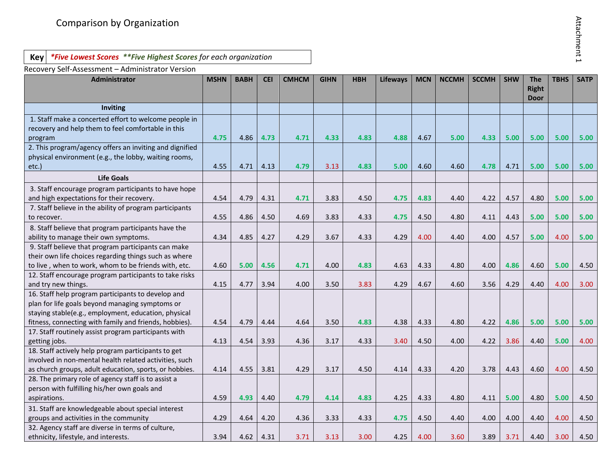| г  |  |
|----|--|
| 5  |  |
| c  |  |
|    |  |
| т. |  |
|    |  |
|    |  |
|    |  |
|    |  |
|    |  |
|    |  |
|    |  |
|    |  |
|    |  |

## **Key** *\*Five Lowest Scores \*\*Five Highest Scores for each organization*

| Comparison by Organization                                                                                                                                                                                              |             |             |            |              |             |            |                 |            |              |              |            |                                           |             | Attachment 1 |
|-------------------------------------------------------------------------------------------------------------------------------------------------------------------------------------------------------------------------|-------------|-------------|------------|--------------|-------------|------------|-----------------|------------|--------------|--------------|------------|-------------------------------------------|-------------|--------------|
| *Five Lowest Scores **Five Highest Scores for each organization<br>Key                                                                                                                                                  |             |             |            |              |             |            |                 |            |              |              |            |                                           |             |              |
| Recovery Self-Assessment - Administrator Version                                                                                                                                                                        |             |             |            |              |             |            |                 |            |              |              |            |                                           |             |              |
| <b>Administrator</b>                                                                                                                                                                                                    | <b>MSHN</b> | <b>BABH</b> | <b>CEI</b> | <b>CMHCM</b> | <b>GIHN</b> | <b>HBH</b> | <b>Lifeways</b> | <b>MCN</b> | <b>NCCMH</b> | <b>SCCMH</b> | <b>SHW</b> | <b>The</b><br><b>Right</b><br><b>Door</b> | <b>TBHS</b> | <b>SATP</b>  |
| Inviting                                                                                                                                                                                                                |             |             |            |              |             |            |                 |            |              |              |            |                                           |             |              |
| 1. Staff make a concerted effort to welcome people in<br>recovery and help them to feel comfortable in this<br>program                                                                                                  | 4.75        | 4.86        | 4.73       | 4.71         | 4.33        | 4.83       | 4.88            | 4.67       | 5.00         | 4.33         | 5.00       | 5.00                                      | 5.00        | 5.00         |
| 2. This program/agency offers an inviting and dignified<br>physical environment (e.g., the lobby, waiting rooms,<br>etc.)                                                                                               | 4.55        | 4.71        | 4.13       | 4.79         | 3.13        | 4.83       | 5.00            | 4.60       | 4.60         | 4.78         | 4.71       | 5.00                                      | 5.00        | 5.00         |
| <b>Life Goals</b>                                                                                                                                                                                                       |             |             |            |              |             |            |                 |            |              |              |            |                                           |             |              |
| 3. Staff encourage program participants to have hope<br>and high expectations for their recovery.                                                                                                                       | 4.54        | 4.79        | 4.31       | 4.71         | 3.83        | 4.50       | 4.75            | 4.83       | 4.40         | 4.22         | 4.57       | 4.80                                      | 5.00        | 5.00         |
| 7. Staff believe in the ability of program participants<br>to recover.                                                                                                                                                  | 4.55        | 4.86        | 4.50       | 4.69         | 3.83        | 4.33       | 4.75            | 4.50       | 4.80         | 4.11         | 4.43       | 5.00                                      | 5.00        | 5.00         |
| 8. Staff believe that program participants have the<br>ability to manage their own symptoms.                                                                                                                            | 4.34        | 4.85        | 4.27       | 4.29         | 3.67        | 4.33       | 4.29            | 4.00       | 4.40         | 4.00         | 4.57       | 5.00                                      | 4.00        | 5.00         |
| 9. Staff believe that program participants can make<br>their own life choices regarding things such as where<br>to live, when to work, whom to be friends with, etc.                                                    | 4.60        | 5.00        | 4.56       | 4.71         | 4.00        | 4.83       | 4.63            | 4.33       | 4.80         | 4.00         | 4.86       | 4.60                                      | 5.00        | 4.50         |
| 12. Staff encourage program participants to take risks<br>and try new things.                                                                                                                                           | 4.15        | 4.77        | 3.94       | 4.00         | 3.50        | 3.83       | 4.29            | 4.67       | 4.60         | 3.56         | 4.29       | 4.40                                      | 4.00        | 3.00         |
| 16. Staff help program participants to develop and<br>plan for life goals beyond managing symptoms or<br>staying stable(e.g., employment, education, physical<br>fitness, connecting with family and friends, hobbies). | 4.54        | 4.79        | 4.44       | 4.64         | 3.50        | 4.83       | 4.38            | 4.33       | 4.80         | 4.22         | 4.86       | 5.00                                      | 5.00        | 5.00         |
| 17. Staff routinely assist program participants with<br>getting jobs.                                                                                                                                                   | 4.13        | 4.54        | 3.93       | 4.36         | 3.17        | 4.33       | 3.40            | 4.50       | 4.00         | 4.22         | 3.86       | 4.40                                      | 5.00        | 4.00         |
| 18. Staff actively help program participants to get<br>involved in non-mental health related activities, such<br>as church groups, adult education, sports, or hobbies.                                                 | 4.14        | 4.55        | 3.81       | 4.29         | 3.17        | 4.50       | 4.14            | 4.33       | 4.20         | 3.78         | 4.43       | 4.60                                      | 4.00        | 4.50         |
| 28. The primary role of agency staff is to assist a<br>person with fulfilling his/her own goals and<br>aspirations.                                                                                                     | 4.59        | 4.93        | 4.40       | 4.79         | 4.14        | 4.83       | 4.25            | 4.33       | 4.80         | 4.11         | 5.00       | 4.80                                      | 5.00        | 4.50         |
| 31. Staff are knowledgeable about special interest<br>groups and activities in the community                                                                                                                            | 4.29        | 4.64        | 4.20       | 4.36         | 3.33        | 4.33       | 4.75            | 4.50       | 4.40         | 4.00         | 4.00       | 4.40                                      | 4.00        | 4.50         |
| 32. Agency staff are diverse in terms of culture,<br>ethnicity, lifestyle, and interests.                                                                                                                               | 3.94        | 4.62        | 4.31       | 3.71         | 3.13        | 3.00       | 4.25            | 4.00       | 3.60         | 3.89         | 3.71       | 4.40                                      | 3.00        | 4.50         |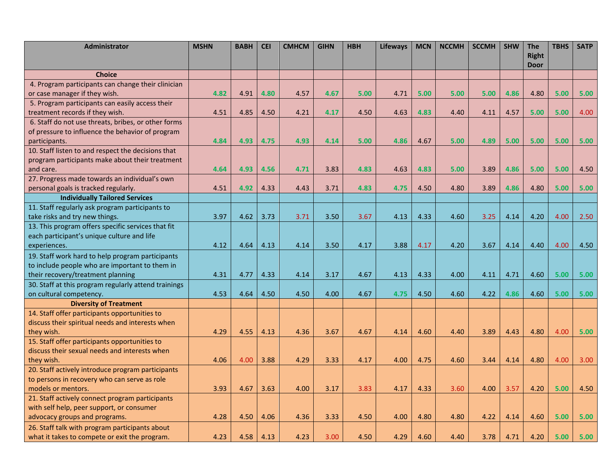| <b>Administrator</b>                                 | <b>MSHN</b> | <b>BABH</b> | <b>CEI</b> | <b>CMHCM</b> | <b>GIHN</b> | <b>HBH</b> | <b>Lifeways</b> | <b>MCN</b> | <b>NCCMH</b> | <b>SCCMH</b> | <b>SHW</b> | <b>The</b>                  | <b>TBHS</b> | <b>SATP</b> |
|------------------------------------------------------|-------------|-------------|------------|--------------|-------------|------------|-----------------|------------|--------------|--------------|------------|-----------------------------|-------------|-------------|
|                                                      |             |             |            |              |             |            |                 |            |              |              |            | <b>Right</b><br><b>Door</b> |             |             |
| <b>Choice</b>                                        |             |             |            |              |             |            |                 |            |              |              |            |                             |             |             |
| 4. Program participants can change their clinician   |             |             |            |              |             |            |                 |            |              |              |            |                             |             |             |
| or case manager if they wish.                        | 4.82        | 4.91        | 4.80       | 4.57         | 4.67        | 5.00       | 4.71            | 5.00       | 5.00         | 5.00         | 4.86       | 4.80                        | 5.00        | 5.00        |
| 5. Program participants can easily access their      |             |             |            |              |             |            |                 |            |              |              |            |                             |             |             |
| treatment records if they wish.                      | 4.51        | 4.85        | 4.50       | 4.21         | 4.17        | 4.50       | 4.63            | 4.83       | 4.40         | 4.11         | 4.57       | 5.00                        | 5.00        | 4.00        |
| 6. Staff do not use threats, bribes, or other forms  |             |             |            |              |             |            |                 |            |              |              |            |                             |             |             |
| of pressure to influence the behavior of program     |             |             |            |              |             |            |                 |            |              |              |            |                             |             |             |
| participants.                                        | 4.84        | 4.93        | 4.75       | 4.93         | 4.14        | 5.00       | 4.86            | 4.67       | 5.00         | 4.89         | 5.00       | 5.00                        | 5.00        | 5.00        |
| 10. Staff listen to and respect the decisions that   |             |             |            |              |             |            |                 |            |              |              |            |                             |             |             |
| program participants make about their treatment      |             |             |            |              |             |            |                 |            |              |              |            |                             |             |             |
| and care.                                            | 4.64        | 4.93        | 4.56       | 4.71         | 3.83        | 4.83       | 4.63            | 4.83       | 5.00         | 3.89         | 4.86       | 5.00                        | 5.00        | 4.50        |
| 27. Progress made towards an individual's own        |             |             |            |              |             |            |                 |            |              |              |            |                             |             |             |
| personal goals is tracked regularly.                 | 4.51        | 4.92        | 4.33       | 4.43         | 3.71        | 4.83       | 4.75            | 4.50       | 4.80         | 3.89         | 4.86       | 4.80                        | 5.00        | 5.00        |
| <b>Individually Tailored Services</b>                |             |             |            |              |             |            |                 |            |              |              |            |                             |             |             |
| 11. Staff regularly ask program participants to      |             |             |            |              |             |            |                 |            |              |              |            |                             |             |             |
| take risks and try new things.                       | 3.97        | 4.62        | 3.73       | 3.71         | 3.50        | 3.67       | 4.13            | 4.33       | 4.60         | 3.25         | 4.14       | 4.20                        | 4.00        | 2.50        |
| 13. This program offers specific services that fit   |             |             |            |              |             |            |                 |            |              |              |            |                             |             |             |
| each participant's unique culture and life           |             |             |            |              |             |            |                 |            |              |              |            |                             |             |             |
| experiences.                                         | 4.12        | 4.64        | 4.13       | 4.14         | 3.50        | 4.17       | 3.88            | 4.17       | 4.20         | 3.67         | 4.14       | 4.40                        | 4.00        | 4.50        |
| 19. Staff work hard to help program participants     |             |             |            |              |             |            |                 |            |              |              |            |                             |             |             |
| to include people who are important to them in       |             |             |            |              |             |            |                 |            |              |              |            |                             |             |             |
| their recovery/treatment planning                    | 4.31        | 4.77        | 4.33       | 4.14         | 3.17        | 4.67       | 4.13            | 4.33       | 4.00         | 4.11         | 4.71       | 4.60                        | 5.00        | 5.00        |
| 30. Staff at this program regularly attend trainings |             |             |            |              |             |            |                 |            |              |              |            |                             |             |             |
| on cultural competency.                              | 4.53        | 4.64        | 4.50       | 4.50         | 4.00        | 4.67       | 4.75            | 4.50       | 4.60         | 4.22         | 4.86       | 4.60                        | 5.00        | 5.00        |
| <b>Diversity of Treatment</b>                        |             |             |            |              |             |            |                 |            |              |              |            |                             |             |             |
| 14. Staff offer participants opportunities to        |             |             |            |              |             |            |                 |            |              |              |            |                             |             |             |
| discuss their spiritual needs and interests when     |             |             |            |              |             |            |                 |            |              |              |            |                             |             |             |
| they wish.                                           | 4.29        | 4.55        | 4.13       | 4.36         | 3.67        | 4.67       | 4.14            | 4.60       | 4.40         | 3.89         | 4.43       | 4.80                        | 4.00        | 5.00        |
| 15. Staff offer participants opportunities to        |             |             |            |              |             |            |                 |            |              |              |            |                             |             |             |
| discuss their sexual needs and interests when        |             |             |            |              |             |            |                 |            |              |              |            |                             |             |             |
| they wish.                                           | 4.06        | 4.00        | 3.88       | 4.29         | 3.33        | 4.17       | 4.00            | 4.75       | 4.60         | 3.44         | 4.14       | 4.80                        | 4.00        | 3.00        |
| 20. Staff actively introduce program participants    |             |             |            |              |             |            |                 |            |              |              |            |                             |             |             |
| to persons in recovery who can serve as role         |             |             |            |              |             |            |                 |            |              |              |            |                             |             |             |
| models or mentors.                                   | 3.93        | 4.67        | 3.63       | 4.00         | 3.17        | 3.83       | 4.17            | 4.33       | 3.60         | 4.00         | 3.57       | 4.20                        | 5.00        | 4.50        |
| 21. Staff actively connect program participants      |             |             |            |              |             |            |                 |            |              |              |            |                             |             |             |
| with self help, peer support, or consumer            |             |             |            |              |             |            |                 |            |              |              |            |                             |             |             |
| advocacy groups and programs.                        | 4.28        | 4.50        | 4.06       | 4.36         | 3.33        | 4.50       | 4.00            | 4.80       | 4.80         | 4.22         | 4.14       | 4.60                        | 5.00        | 5.00        |
| 26. Staff talk with program participants about       |             |             |            |              |             |            |                 |            |              |              |            |                             |             |             |
| what it takes to compete or exit the program.        | 4.23        | 4.58        | 4.13       | 4.23         | 3.00        | 4.50       | 4.29            | 4.60       | 4.40         | 3.78         | 4.71       | 4.20                        | 5.00        | 5.00        |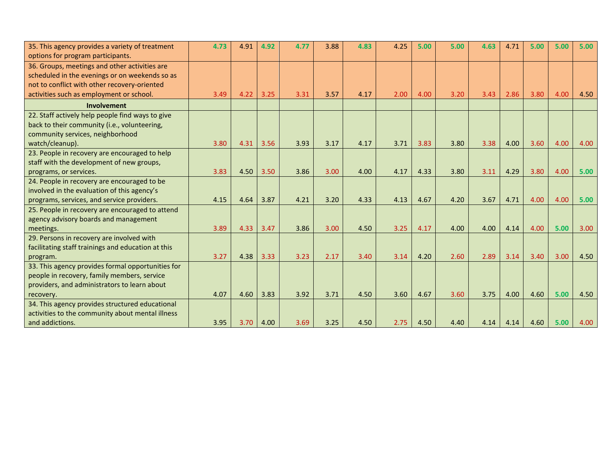| 35. This agency provides a variety of treatment    | 4.73 | 4.91 | 4.92 | 4.77 | 3.88 | 4.83 | 4.25 | 5.00 | 5.00 | 4.63 | 4.71 | 5.00 | 5.00 | 5.00 |
|----------------------------------------------------|------|------|------|------|------|------|------|------|------|------|------|------|------|------|
| options for program participants.                  |      |      |      |      |      |      |      |      |      |      |      |      |      |      |
| 36. Groups, meetings and other activities are      |      |      |      |      |      |      |      |      |      |      |      |      |      |      |
| scheduled in the evenings or on weekends so as     |      |      |      |      |      |      |      |      |      |      |      |      |      |      |
| not to conflict with other recovery-oriented       |      |      |      |      |      |      |      |      |      |      |      |      |      |      |
| activities such as employment or school.           | 3.49 | 4.22 | 3.25 | 3.31 | 3.57 | 4.17 | 2.00 | 4.00 | 3.20 | 3.43 | 2.86 | 3.80 | 4.00 | 4.50 |
| Involvement                                        |      |      |      |      |      |      |      |      |      |      |      |      |      |      |
| 22. Staff actively help people find ways to give   |      |      |      |      |      |      |      |      |      |      |      |      |      |      |
| back to their community (i.e., volunteering,       |      |      |      |      |      |      |      |      |      |      |      |      |      |      |
| community services, neighborhood                   |      |      |      |      |      |      |      |      |      |      |      |      |      |      |
| watch/cleanup).                                    | 3.80 | 4.31 | 3.56 | 3.93 | 3.17 | 4.17 | 3.71 | 3.83 | 3.80 | 3.38 | 4.00 | 3.60 | 4.00 | 4.00 |
| 23. People in recovery are encouraged to help      |      |      |      |      |      |      |      |      |      |      |      |      |      |      |
| staff with the development of new groups,          |      |      |      |      |      |      |      |      |      |      |      |      |      |      |
| programs, or services.                             | 3.83 | 4.50 | 3.50 | 3.86 | 3.00 | 4.00 | 4.17 | 4.33 | 3.80 | 3.11 | 4.29 | 3.80 | 4.00 | 5.00 |
| 24. People in recovery are encouraged to be        |      |      |      |      |      |      |      |      |      |      |      |      |      |      |
| involved in the evaluation of this agency's        |      |      |      |      |      |      |      |      |      |      |      |      |      |      |
| programs, services, and service providers.         | 4.15 | 4.64 | 3.87 | 4.21 | 3.20 | 4.33 | 4.13 | 4.67 | 4.20 | 3.67 | 4.71 | 4.00 | 4.00 | 5.00 |
| 25. People in recovery are encouraged to attend    |      |      |      |      |      |      |      |      |      |      |      |      |      |      |
| agency advisory boards and management              |      |      |      |      |      |      |      |      |      |      |      |      |      |      |
| meetings.                                          | 3.89 | 4.33 | 3.47 | 3.86 | 3.00 | 4.50 | 3.25 | 4.17 | 4.00 | 4.00 | 4.14 | 4.00 | 5.00 | 3.00 |
| 29. Persons in recovery are involved with          |      |      |      |      |      |      |      |      |      |      |      |      |      |      |
| facilitating staff trainings and education at this |      |      |      |      |      |      |      |      |      |      |      |      |      |      |
| program.                                           | 3.27 | 4.38 | 3.33 | 3.23 | 2.17 | 3.40 | 3.14 | 4.20 | 2.60 | 2.89 | 3.14 | 3.40 | 3.00 | 4.50 |
| 33. This agency provides formal opportunities for  |      |      |      |      |      |      |      |      |      |      |      |      |      |      |
| people in recovery, family members, service        |      |      |      |      |      |      |      |      |      |      |      |      |      |      |
| providers, and administrators to learn about       |      |      |      |      |      |      |      |      |      |      |      |      |      |      |
| recovery.                                          | 4.07 | 4.60 | 3.83 | 3.92 | 3.71 | 4.50 | 3.60 | 4.67 | 3.60 | 3.75 | 4.00 | 4.60 | 5.00 | 4.50 |
| 34. This agency provides structured educational    |      |      |      |      |      |      |      |      |      |      |      |      |      |      |
| activities to the community about mental illness   |      |      |      |      |      |      |      |      |      |      |      |      |      |      |
| and addictions.                                    | 3.95 | 3.70 | 4.00 | 3.69 | 3.25 | 4.50 | 2.75 | 4.50 | 4.40 | 4.14 | 4.14 | 4.60 | 5.00 | 4.00 |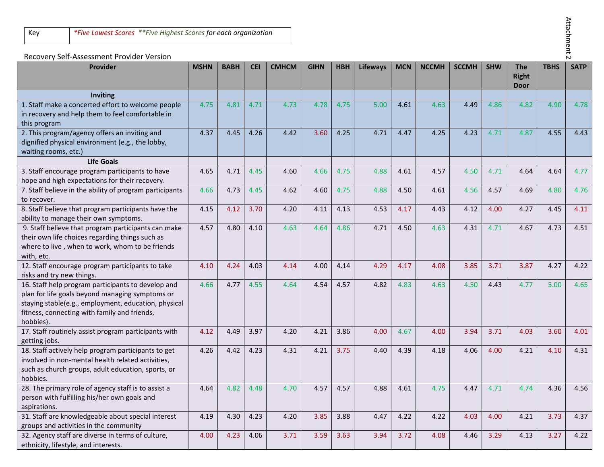# Attachment 2 Attachment 2

## Recovery Self-Assessment Provider Version

| <b>Provider</b>                                                                                                                                                                                                            | <b>MSHN</b> | <b>BABH</b> | <b>CEI</b> | <b>CMHCM</b> | <b>GIHN</b> | <b>HBH</b> | <b>Lifeways</b> | <b>MCN</b> | <b>NCCMH</b> | <b>SCCMH</b> | <b>SHW</b> | <b>The</b>   | <b>TBHS</b> | <b>SATP</b> |
|----------------------------------------------------------------------------------------------------------------------------------------------------------------------------------------------------------------------------|-------------|-------------|------------|--------------|-------------|------------|-----------------|------------|--------------|--------------|------------|--------------|-------------|-------------|
|                                                                                                                                                                                                                            |             |             |            |              |             |            |                 |            |              |              |            | <b>Right</b> |             |             |
| <b>Inviting</b>                                                                                                                                                                                                            |             |             |            |              |             |            |                 |            |              |              |            | <b>Door</b>  |             |             |
| 1. Staff make a concerted effort to welcome people<br>in recovery and help them to feel comfortable in<br>this program                                                                                                     | 4.75        | 4.81        | 4.71       | 4.73         | 4.78        | 4.75       | 5.00            | 4.61       | 4.63         | 4.49         | 4.86       | 4.82         | 4.90        | 4.78        |
| 2. This program/agency offers an inviting and<br>dignified physical environment (e.g., the lobby,<br>waiting rooms, etc.)                                                                                                  | 4.37        | 4.45        | 4.26       | 4.42         | 3.60        | 4.25       | 4.71            | 4.47       | 4.25         | 4.23         | 4.71       | 4.87         | 4.55        | 4.43        |
| <b>Life Goals</b>                                                                                                                                                                                                          |             |             |            |              |             |            |                 |            |              |              |            |              |             |             |
| 3. Staff encourage program participants to have<br>hope and high expectations for their recovery.                                                                                                                          | 4.65        | 4.71        | 4.45       | 4.60         | 4.66        | 4.75       | 4.88            | 4.61       | 4.57         | 4.50         | 4.71       | 4.64         | 4.64        | 4.77        |
| 7. Staff believe in the ability of program participants<br>to recover.                                                                                                                                                     | 4.66        | 4.73        | 4.45       | 4.62         | 4.60        | 4.75       | 4.88            | 4.50       | 4.61         | 4.56         | 4.57       | 4.69         | 4.80        | 4.76        |
| 8. Staff believe that program participants have the<br>ability to manage their own symptoms.                                                                                                                               | 4.15        | 4.12        | 3.70       | 4.20         | 4.11        | 4.13       | 4.53            | 4.17       | 4.43         | 4.12         | 4.00       | 4.27         | 4.45        | 4.11        |
| 9. Staff believe that program participants can make<br>their own life choices regarding things such as<br>where to live, when to work, whom to be friends<br>with, etc.                                                    | 4.57        | 4.80        | 4.10       | 4.63         | 4.64        | 4.86       | 4.71            | 4.50       | 4.63         | 4.31         | 4.71       | 4.67         | 4.73        | 4.51        |
| 12. Staff encourage program participants to take<br>risks and try new things.                                                                                                                                              | 4.10        | 4.24        | 4.03       | 4.14         | 4.00        | 4.14       | 4.29            | 4.17       | 4.08         | 3.85         | 3.71       | 3.87         | 4.27        | 4.22        |
| 16. Staff help program participants to develop and<br>plan for life goals beyond managing symptoms or<br>staying stable(e.g., employment, education, physical<br>fitness, connecting with family and friends,<br>hobbies). | 4.66        | 4.77        | 4.55       | 4.64         | 4.54        | 4.57       | 4.82            | 4.83       | 4.63         | 4.50         | 4.43       | 4.77         | 5.00        | 4.65        |
| 17. Staff routinely assist program participants with<br>getting jobs.                                                                                                                                                      | 4.12        | 4.49        | 3.97       | 4.20         | 4.21        | 3.86       | 4.00            | 4.67       | 4.00         | 3.94         | 3.71       | 4.03         | 3.60        | 4.01        |
| 18. Staff actively help program participants to get<br>involved in non-mental health related activities,<br>such as church groups, adult education, sports, or<br>hobbies.                                                 | 4.26        | 4.42        | 4.23       | 4.31         | 4.21        | 3.75       | 4.40            | 4.39       | 4.18         | 4.06         | 4.00       | 4.21         | 4.10        | 4.31        |
| 28. The primary role of agency staff is to assist a<br>person with fulfilling his/her own goals and<br>aspirations.                                                                                                        | 4.64        | 4.82        | 4.48       | 4.70         | 4.57        | 4.57       | 4.88            | 4.61       | 4.75         | 4.47         | 4.71       | 4.74         | 4.36        | 4.56        |
| 31. Staff are knowledgeable about special interest<br>groups and activities in the community                                                                                                                               | 4.19        | 4.30        | 4.23       | 4.20         | 3.85        | 3.88       | 4.47            | 4.22       | 4.22         | 4.03         | 4.00       | 4.21         | 3.73        | 4.37        |
| 32. Agency staff are diverse in terms of culture,<br>ethnicity, lifestyle, and interests.                                                                                                                                  | 4.00        | 4.23        | 4.06       | 3.71         | 3.59        | 3.63       | 3.94            | 3.72       | 4.08         | 4.46         | 3.29       | 4.13         | 3.27        | 4.22        |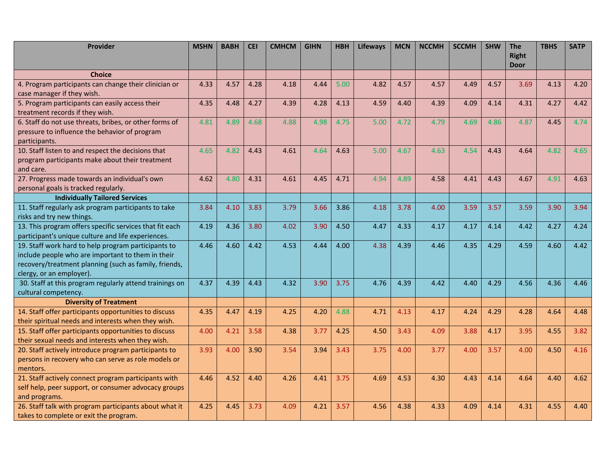| Provider                                                | <b>MSHN</b> | <b>BABH</b> | <b>CEI</b> | <b>CMHCM</b> | <b>GIHN</b> | <b>HBH</b> | <b>Lifeways</b> | <b>MCN</b> | <b>NCCMH</b> | <b>SCCMH</b> | <b>SHW</b> | <b>The</b>   | <b>TBHS</b> | <b>SATP</b> |
|---------------------------------------------------------|-------------|-------------|------------|--------------|-------------|------------|-----------------|------------|--------------|--------------|------------|--------------|-------------|-------------|
|                                                         |             |             |            |              |             |            |                 |            |              |              |            | <b>Right</b> |             |             |
|                                                         |             |             |            |              |             |            |                 |            |              |              |            | <b>Door</b>  |             |             |
| <b>Choice</b>                                           |             |             |            |              |             |            |                 |            |              |              |            |              |             |             |
| 4. Program participants can change their clinician or   | 4.33        | 4.57        | 4.28       | 4.18         | 4.44        | 5.00       | 4.82            | 4.57       | 4.57         | 4.49         | 4.57       | 3.69         | 4.13        | 4.20        |
| case manager if they wish.                              |             |             |            |              |             |            |                 |            |              |              |            |              |             |             |
| 5. Program participants can easily access their         | 4.35        | 4.48        | 4.27       | 4.39         | 4.28        | 4.13       | 4.59            | 4.40       | 4.39         | 4.09         | 4.14       | 4.31         | 4.27        | 4.42        |
| treatment records if they wish.                         |             |             |            |              |             |            |                 |            |              |              |            |              |             |             |
| 6. Staff do not use threats, bribes, or other forms of  | 4.81        | 4.89        | 4.68       | 4.88         | 4.98        | 4.75       | 5.00            | 4.72       | 4.79         | 4.69         | 4.86       | 4.87         | 4.45        | 4.74        |
| pressure to influence the behavior of program           |             |             |            |              |             |            |                 |            |              |              |            |              |             |             |
| participants.                                           |             |             |            |              |             |            |                 |            |              |              |            |              |             |             |
| 10. Staff listen to and respect the decisions that      | 4.65        | 4.82        | 4.43       | 4.61         | 4.64        | 4.63       | 5.00            | 4.67       | 4.63         | 4.54         | 4.43       | 4.64         | 4.82        | 4.65        |
| program participants make about their treatment         |             |             |            |              |             |            |                 |            |              |              |            |              |             |             |
| and care.                                               |             |             |            |              |             |            |                 |            |              |              |            |              |             |             |
| 27. Progress made towards an individual's own           | 4.62        | 4.80        | 4.31       | 4.61         | 4.45        | 4.71       | 4.94            | 4.89       | 4.58         | 4.41         | 4.43       | 4.67         | 4.91        | 4.63        |
| personal goals is tracked regularly.                    |             |             |            |              |             |            |                 |            |              |              |            |              |             |             |
| <b>Individually Tailored Services</b>                   |             |             |            |              |             |            |                 |            |              |              |            |              |             |             |
| 11. Staff regularly ask program participants to take    | 3.84        | 4.10        | 3.83       | 3.79         | 3.66        | 3.86       | 4.18            | 3.78       | 4.00         | 3.59         | 3.57       | 3.59         | 3.90        | 3.94        |
| risks and try new things.                               |             |             |            |              |             |            |                 |            |              |              |            |              |             |             |
| 13. This program offers specific services that fit each | 4.19        | 4.36        | 3.80       | 4.02         | 3.90        | 4.50       | 4.47            | 4.33       | 4.17         | 4.17         | 4.14       | 4.42         | 4.27        | 4.24        |
| participant's unique culture and life experiences.      |             |             |            |              |             |            |                 |            |              |              |            |              |             |             |
| 19. Staff work hard to help program participants to     | 4.46        | 4.60        | 4.42       | 4.53         | 4.44        | 4.00       | 4.38            | 4.39       | 4.46         | 4.35         | 4.29       | 4.59         | 4.60        | 4.42        |
| include people who are important to them in their       |             |             |            |              |             |            |                 |            |              |              |            |              |             |             |
| recovery/treatment planning (such as family, friends,   |             |             |            |              |             |            |                 |            |              |              |            |              |             |             |
| clergy, or an employer).                                |             |             |            |              |             |            |                 |            |              |              |            |              |             |             |
| 30. Staff at this program regularly attend trainings on | 4.37        | 4.39        | 4.43       | 4.32         | 3.90        | 3.75       | 4.76            | 4.39       | 4.42         | 4.40         | 4.29       | 4.56         | 4.36        | 4.46        |
| cultural competency.                                    |             |             |            |              |             |            |                 |            |              |              |            |              |             |             |
| <b>Diversity of Treatment</b>                           |             |             |            |              |             |            |                 |            |              |              |            |              |             |             |
| 14. Staff offer participants opportunities to discuss   | 4.35        | 4.47        | 4.19       | 4.25         | 4.20        | 4.88       | 4.71            | 4.13       | 4.17         | 4.24         | 4.29       | 4.28         | 4.64        | 4.48        |
| their spiritual needs and interests when they wish.     |             |             |            |              |             |            |                 |            |              |              |            |              |             |             |
| 15. Staff offer participants opportunities to discuss   | 4.00        | 4.21        | 3.58       | 4.38         | 3.77        | 4.25       | 4.50            | 3.43       | 4.09         | 3.88         | 4.17       | 3.95         | 4.55        | 3.82        |
| their sexual needs and interests when they wish.        |             |             |            |              |             |            |                 |            |              |              |            |              |             |             |
| 20. Staff actively introduce program participants to    | 3.93        | 4.00        | 3.90       | 3.54         | 3.94        | 3.43       | 3.75            | 4.00       | 3.77         | 4.00         | 3.57       | 4.00         | 4.50        | 4.16        |
| persons in recovery who can serve as role models or     |             |             |            |              |             |            |                 |            |              |              |            |              |             |             |
| mentors.                                                |             |             |            |              |             |            |                 |            |              |              |            |              |             |             |
| 21. Staff actively connect program participants with    | 4.46        | 4.52        | 4.40       | 4.26         | 4.41        | 3.75       | 4.69            | 4.53       | 4.30         | 4.43         | 4.14       | 4.64         | 4.40        | 4.62        |
| self help, peer support, or consumer advocacy groups    |             |             |            |              |             |            |                 |            |              |              |            |              |             |             |
| and programs.                                           |             |             |            |              |             |            |                 |            |              |              |            |              |             |             |
| 26. Staff talk with program participants about what it  | 4.25        | 4.45        | 3.73       | 4.09         | 4.21        | 3.57       | 4.56            | 4.38       | 4.33         | 4.09         | 4.14       | 4.31         | 4.55        | 4.40        |
| takes to complete or exit the program.                  |             |             |            |              |             |            |                 |            |              |              |            |              |             |             |